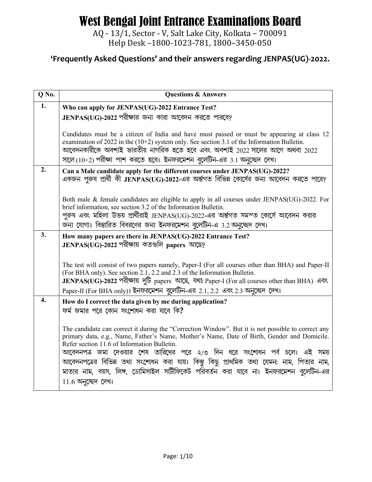AQ - 13/1, Sector - V, Salt Lake City, Kolkata - 700091 Help Desk -1800-1023-781, 1800-3450-050

| $Q$ No. | <b>Questions &amp; Answers</b>                                                                                                                                                                                                                                                                                                                           |
|---------|----------------------------------------------------------------------------------------------------------------------------------------------------------------------------------------------------------------------------------------------------------------------------------------------------------------------------------------------------------|
| 1.      | Who can apply for JENPAS(UG)-2022 Entrance Test?                                                                                                                                                                                                                                                                                                         |
|         | JENPAS(UG)-2022 পরীক্ষার জন্য কারা আবেদন করতে পারবে?                                                                                                                                                                                                                                                                                                     |
|         | Candidates must be a citizen of India and have must passed or must be appearing at class 12<br>examination of 2022 in the $(10+2)$ system only. See section 3.1 of the Information Bulletin.<br>আবেদনকারীকে অবশ্যই ভারতীয় নাগরিক হতে হবে এবং অবশ্যই 2022 সালের আগে অথবা 2022<br>সালে (10+2) পরীক্ষা পাশ করতে হবে। ইনফরমেশন বুলেটিন-এর 3.1 অনুচ্ছেদ দেখ। |
| 2.      | Can a Male candidate apply for the different courses under JENPAS(UG)-2022?                                                                                                                                                                                                                                                                              |
|         | একজন পুরুষ প্রার্থী কী JENPAS(UG)-2022-এর অর্ন্তগত বিভিন্ন কোর্সের জন্য আবেদন করতে পারে?                                                                                                                                                                                                                                                                 |
|         |                                                                                                                                                                                                                                                                                                                                                          |
|         | Both male & female candidates are eligible to apply in all courses under JENPAS(UG)-2022. For                                                                                                                                                                                                                                                            |
|         | brief information, see section 3.2 of the Information Bulletin.                                                                                                                                                                                                                                                                                          |
|         | পুরুষ এবং মহিলা উভয় প্রার্থীরাই JENPAS(UG)-2022-এর অর্ন্তগত সমস্ত কোর্সে আবেদন করার<br>জন্য যোগ্য। বিস্তারিত বিবরণের জন্য ইনফরমেশন বুলেটিন-এ 3.2 অনুচ্ছেদ দেখ।                                                                                                                                                                                          |
| 3.      |                                                                                                                                                                                                                                                                                                                                                          |
|         | How many papers are there in JENPAS(UG)-2022 Entrance Test?<br>JENPAS(UG)-2022 পরীক্ষায় কতগুলি papers আছে?                                                                                                                                                                                                                                              |
|         |                                                                                                                                                                                                                                                                                                                                                          |
|         | The test will consist of two papers namely, Paper-I (For all courses other than BHA) and Paper-II                                                                                                                                                                                                                                                        |
|         | (For BHA only). See section 2.1, 2.2 and 2.3 of the Information Bulletin.                                                                                                                                                                                                                                                                                |
|         | JENPAS(UG)-2022 পরীক্ষায় দুটি papers আছে, যথা: Paper-I (For all courses other than BHA) এবং<br>Paper-II (For BHA only)। ইনফরমেশন বুলেটিন-এর 2.1, 2.2 এবং 2.3 অনুচ্ছেদ দেখ।                                                                                                                                                                              |
| 4.      |                                                                                                                                                                                                                                                                                                                                                          |
|         | How do I correct the data given by me during application?<br>ফর্ম জমার পরে কোন সংশোধন করা যাবে কি?                                                                                                                                                                                                                                                       |
|         |                                                                                                                                                                                                                                                                                                                                                          |
|         | The candidate can correct it during the "Correction Window". But it is not possible to correct any                                                                                                                                                                                                                                                       |
|         | primary data, e.g., Name, Father's Name, Mother's Name, Date of Birth, Gender and Domicile.<br>Refer section 11.6 of Information Bulletin.                                                                                                                                                                                                               |
|         | আবেদনপত্র জমা দেওয়ার শেষ তারিখের পরে ২/৩ দিন ধরে সংশোধন পর্ব চলে। এই সময়                                                                                                                                                                                                                                                                               |
|         | আবেদনপত্রের বিভিন্ন তথ্য সংশোধন করা যায়। কিন্তু কিছু প্রাথমিক তথ্য যেমন: নাম, পিতার নাম,                                                                                                                                                                                                                                                                |
|         | মাতার নাম, বয়স, লিঙ্গ, ডোমিসাইল সাটীফিকেট পরিবর্তন করা যাবে না। ইনফরমেশন বুলেটিন-এর                                                                                                                                                                                                                                                                     |
|         | $11.6$ অনুচ্ছেদ দেখ।                                                                                                                                                                                                                                                                                                                                     |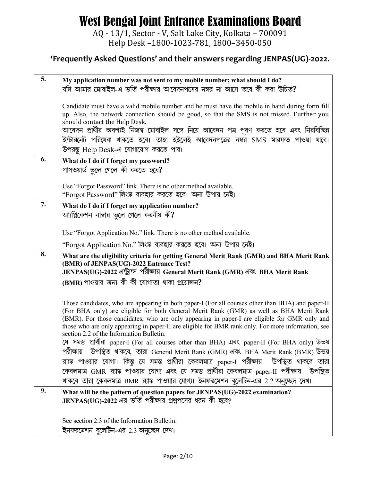AQ - 13/1, Sector - V, Salt Lake City, Kolkata - 700091 Help Desk -1800-1023-781, 1800-3450-050

| 5. | My application number was not sent to my mobile number; what should I do?                                                                                                                                                                                                                                                                                                                                                                                 |
|----|-----------------------------------------------------------------------------------------------------------------------------------------------------------------------------------------------------------------------------------------------------------------------------------------------------------------------------------------------------------------------------------------------------------------------------------------------------------|
|    | যদি আমার মোবাইল-এ ভর্তি পরীক্ষার আবেদনপত্রের নম্বর না আসে তবে কী করা উচিত?                                                                                                                                                                                                                                                                                                                                                                                |
|    | Candidate must have a valid mobile number and he must have the mobile in hand during form fill<br>up. Also, the network connection should be good, so that the SMS is not missed. Further you<br>should contact the Help Desk.<br>আবেদন প্রার্থীর অবশ্যই নিজস্ব মোবাইল সঙ্গে নিয়ে আবেদন পত্র পূরণ করতে হবে এবং নিরবিচ্ছিন্ন<br>ইন্টারনেট পরিষেবা থাকতে হবে। তাহা হইলেই আবেদনপত্রের নম্বর SMS মারফত পাওয়া যাবে।<br>উপরন্তু Help Desk-এ যোগাযোগ করতে পার। |
| 6. | What do I do if I forget my password?                                                                                                                                                                                                                                                                                                                                                                                                                     |
|    | পাসওয়ার্ড ভুলে গেলে কী করতে হবে?                                                                                                                                                                                                                                                                                                                                                                                                                         |
|    | Use "Forgot Password" link. There is no other method available.                                                                                                                                                                                                                                                                                                                                                                                           |
|    | "Forgot Password" লিংষ্ক ব্যবহার করতে হবে। অন্য উপায় নেই।                                                                                                                                                                                                                                                                                                                                                                                                |
| 7. | What do I do if I forget my application number?                                                                                                                                                                                                                                                                                                                                                                                                           |
|    | আপ্লিকেশন নাম্বার ভুলে গেলে করনীয় কী?                                                                                                                                                                                                                                                                                                                                                                                                                    |
|    | Use "Forgot Application No." link. There is no other method available.                                                                                                                                                                                                                                                                                                                                                                                    |
|    | "Forgot Application No." লিংষ্ক ব্যবহার করতে হবে। অন্য উপায় নেই।                                                                                                                                                                                                                                                                                                                                                                                         |
| 8. | What are the eligibility criteria for getting General Merit Rank (GMR) and BHA Merit Rank                                                                                                                                                                                                                                                                                                                                                                 |
|    | (BMR) of JENPAS(UG)-2022 Entrance Test?<br>JENPAS(UG)-2022 এন্ট্রান্স পরীক্ষায় General Merit Rank (GMR) এবং BHA Merit Rank                                                                                                                                                                                                                                                                                                                               |
|    | (BMR) পাওয়ার জন্য কী কী যোগ্যতা থাকা প্রয়োজন?                                                                                                                                                                                                                                                                                                                                                                                                           |
|    |                                                                                                                                                                                                                                                                                                                                                                                                                                                           |
|    | Those candidates, who are appearing in both paper-I (For all courses other than BHA) and paper-II<br>(For BHA only) are eligible for both General Merit Rank (GMR) as well as BHA Merit Rank<br>(BMR). For those candidates, who are only appearing in paper-I are eligible for GMR only and<br>those who are only appearing in paper-II are eligible for BMR rank only. For more information, see<br>section 2.2 of the Information Bulletin.            |
|    | যে সমস্ত প্রার্থীরা paper-I (For all courses other than BHA) এবং paper-II (For BHA only) উভয়                                                                                                                                                                                                                                                                                                                                                             |
|    | পরীক্ষায় উপস্থিত থাকবে, তারা General Merit Rank (GMR) এবং BHA Merit Rank (BMR) উভয়<br>র্য়াঙ্ক পাওয়ার যোগ্য। কিন্তু যে সমস্ত প্রার্থীরা কেবলমাত্র <sub>paper-</sub> ্য পরীক্ষায় উপস্থিত থাকবে তারা                                                                                                                                                                                                                                                    |
|    | কেবলমাত্র GMR র্যাঙ্ক পাওয়ার যোগ্য এবং যে সমস্ত প্রার্থীরা কেবলমাত্র <sub>paper-II</sub> পরীক্ষায় উপস্থিত                                                                                                                                                                                                                                                                                                                                               |
|    | থাকবে তারা কেবলমাত্র BMR র্যাঙ্ক পাওয়ার যোগ্য। ইনফরমেশন বুলেটিন-এর 2.2 অনুচ্ছেদ দেখ।                                                                                                                                                                                                                                                                                                                                                                     |
| 9. | What will be the pattern of question papers for JENPAS(UG)-2022 examination?<br>JENPAS(UG)-2022 এর ভর্তি পরীক্ষার প্রশ্নবের ধরন কী হবে?                                                                                                                                                                                                                                                                                                                   |
|    | See section 2.3 of the Information Bulletin.                                                                                                                                                                                                                                                                                                                                                                                                              |
|    | ইনফরমেশন বুলেটিন-এর 2.3 অনুচ্ছেদ দেখ।                                                                                                                                                                                                                                                                                                                                                                                                                     |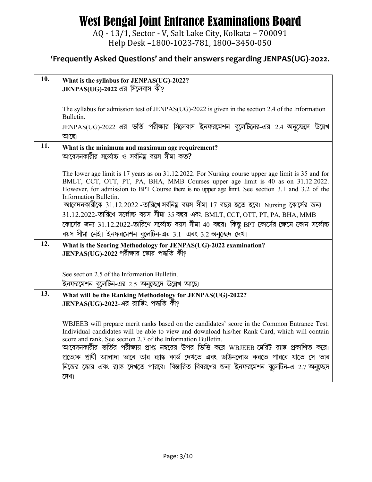AQ - 13/1, Sector - V, Salt Lake City, Kolkata – 700091 Help Desk –1800-1023-781, 1800–3450-050

| 10. | What is the syllabus for JENPAS(UG)-2022?<br>JENPAS(UG)-2022 এর সিলেবাস কী?                                                                                                                                                                                                                                                                                                                                                                                                                                                                                                                                                                                                       |
|-----|-----------------------------------------------------------------------------------------------------------------------------------------------------------------------------------------------------------------------------------------------------------------------------------------------------------------------------------------------------------------------------------------------------------------------------------------------------------------------------------------------------------------------------------------------------------------------------------------------------------------------------------------------------------------------------------|
|     | The syllabus for admission test of JENPAS(UG)-2022 is given in the section 2.4 of the Information<br>Bulletin.<br>JENPAS(UG)-2022 এর ভর্তি পরীক্ষার সিলেবাস ইনফরমেশন বুলেটিনের-এর 2.4 অনুচ্ছেদে উল্লেখ<br>আছে।                                                                                                                                                                                                                                                                                                                                                                                                                                                                    |
| 11. | What is the minimum and maximum age requirement?<br>আবেদনকারীর সর্ব্বোচ্চ ও সর্বনিয় বয়স সীমা কত?                                                                                                                                                                                                                                                                                                                                                                                                                                                                                                                                                                                |
|     | The lower age limit is 17 years as on 31.12.2022. For Nursing course upper age limit is 35 and for<br>BMLT, CCT, OTT, PT, PA, BHA, MMB Courses upper age limit is 40 as on 31.12.2022.<br>However, for admission to BPT Course there is no upper age limit. See section 3.1 and 3.2 of the<br>Information Bulletin.<br>আবেদনকারীকে 31.12.2022 -তারিখে সর্বনিম্ন বয়স সীমা 17 বছর হতে হবে। Nursing কোর্সের জন্য<br>$31.12.2022$ -তারিখে সর্ব্বোচ্চ বয়স সীমা 35 বছর এবং BMLT, CCT, OTT, PT, PA, BHA, MMB<br>কোর্সের জন্য 31.12.2022-তারিখে সর্ব্বোচ্চ বয়স সীমা 40 বছর। কিন্তু BPT কোর্সের ক্ষেত্রে কোন সর্ব্বোচ্চ<br>বয়স সীমা নেই। ইনফরমেশন বুলেটিন-এর 3.1 এবং 3.2 অনুচ্ছেদ দেখ। |
| 12. | What is the Scoring Methodology for JENPAS(UG)-2022 examination?<br>$JENPAS(UG)$ -2022 পরীক্ষার স্কোর পদ্ধতি কী?                                                                                                                                                                                                                                                                                                                                                                                                                                                                                                                                                                  |
|     | See section 2.5 of the Information Bulletin.                                                                                                                                                                                                                                                                                                                                                                                                                                                                                                                                                                                                                                      |
| 13. | ইনফরমেশন বুলেটিন-এর 2.5 অনুচ্ছেদে উল্লেখ আছে।<br>What will be the Ranking Methodology for JENPAS(UG)-2022?                                                                                                                                                                                                                                                                                                                                                                                                                                                                                                                                                                        |
|     | JENPAS(UG)-2022-এর র্য়াঙ্কিং পদ্ধতি কী?                                                                                                                                                                                                                                                                                                                                                                                                                                                                                                                                                                                                                                          |
|     | WBJEEB will prepare merit ranks based on the candidates' score in the Common Entrance Test.<br>Individual candidates will be able to view and download his/her Rank Card, which will contain<br>score and rank. See section 2.7 of the Information Bulletin.<br>আবেদনকারীর ভর্তির পরীক্ষায় প্রাপ্ত নম্বরের উপর ভিত্তি করে WBJEEB মেরিট র্যাঙ্ক প্রকাশিত করে।<br>প্রত্যেক প্রার্থী আলাদা ভাবে তার র্যাঙ্ক কার্ড দেখতে এবং ডাউনলোড করতে পারবে যাতে সে তার<br>নিজের স্কোর এবং র্যাঙ্ক দেখতে পারবে। বিস্তারিত বিবরণের জন্য ইনফরমেশন বুলেটিন-এ 2.7 অনুচ্ছেদ<br>দেখা                                                                                                                   |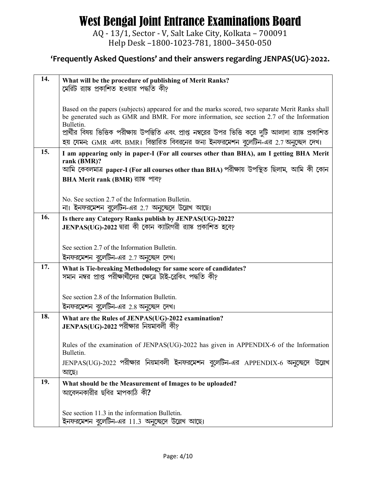AQ - 13/1, Sector - V, Salt Lake City, Kolkata - 700091 Help Desk -1800-1023-781, 1800-3450-050

| 14. | What will be the procedure of publishing of Merit Ranks?<br>মেরিট র্যাঙ্ক প্রকাশিত হওয়ার পদ্ধতি কী?                                                                                                                                                                                                                                                                                                            |
|-----|-----------------------------------------------------------------------------------------------------------------------------------------------------------------------------------------------------------------------------------------------------------------------------------------------------------------------------------------------------------------------------------------------------------------|
|     | Based on the papers (subjects) appeared for and the marks scored, two separate Merit Ranks shall<br>be generated such as GMR and BMR. For more information, see section 2.7 of the Information<br>Bulletin.<br>প্রার্থীর বিষয় ভিত্তিক পরীক্ষায় উপস্তিতি এবং প্রাপ্ত নম্বরের উপর ভিত্তি করে দুটি আলাদা র্যাঙ্ক প্রকাশিত<br>হয় যেমন: GMR এবং BMR। বিস্তারিত বিবরনের জন্য ইনফরমেশন বুলেটিন-এর 2.7 অনুচ্ছেদ দেখ। |
| 15. | I am appearing only in paper-I (For all courses other than BHA), am I getting BHA Merit<br>rank (BMR)?<br>আমি কেবলমাত্র paper-I (For all courses other than BHA) পরীক্ষায় উপস্থিত ছিলাম, আমি কী কোন<br>BHA Merit rank (BMR) ব্যাঙ্ক পাব?                                                                                                                                                                       |
|     | No. See section 2.7 of the Information Bulletin.<br>না। ইনফরমেশন বুলেটিন-এর 2.7 অনুচ্ছেদে উল্লেখ আছে।                                                                                                                                                                                                                                                                                                           |
| 16. | Is there any Category Ranks publish by JENPAS(UG)-2022?<br>JENPAS(UG)-2022 দ্বারা কী কোন ক্যাটাগরী র্যাঙ্ক প্রকাশিত হবে?                                                                                                                                                                                                                                                                                        |
|     | See section 2.7 of the Information Bulletin.<br>ইনফরমেশন বুলেটিন-এর 2.7 অনুচ্ছেদ দেখ।                                                                                                                                                                                                                                                                                                                           |
| 17. | What is Tie-breaking Methodology for same score of candidates?<br>সমান নম্বর প্রাপ্ত পরীক্ষার্থীদের ক্ষেত্রে টাই-ব্রেকিং পদ্ধতি কী?                                                                                                                                                                                                                                                                             |
|     | See section 2.8 of the Information Bulletin.<br>ইনফরমেশন বুলেটিন-এর 2.8 অনুচ্ছেদ দেখ।                                                                                                                                                                                                                                                                                                                           |
| 18. | What are the Rules of JENPAS(UG)-2022 examination?<br>JENPAS(UG)-2022 পরীক্ষার নিয়মাবলী কী?                                                                                                                                                                                                                                                                                                                    |
|     | Rules of the examination of JENPAS(UG)-2022 has given in APPENDIX-6 of the Information<br>Bulletin.                                                                                                                                                                                                                                                                                                             |
|     | JENPAS(UG)-2022 পরীক্ষার নিয়মাবলী ইনফরমেশন বুলেটিন-এর APPENDIX-6 অনুচ্ছেদে উল্লেখ<br>আছে।                                                                                                                                                                                                                                                                                                                      |
| 19. | What should be the Measurement of Images to be uploaded?<br>আবেদনকারীর ছবির মাপকাঠি কী?                                                                                                                                                                                                                                                                                                                         |
|     | See section 11.3 in the information Bulletin.<br>ইনফরমেশন বুলেটিন-এর 11.3 অনুচ্ছেদে উল্লেখ আছে।                                                                                                                                                                                                                                                                                                                 |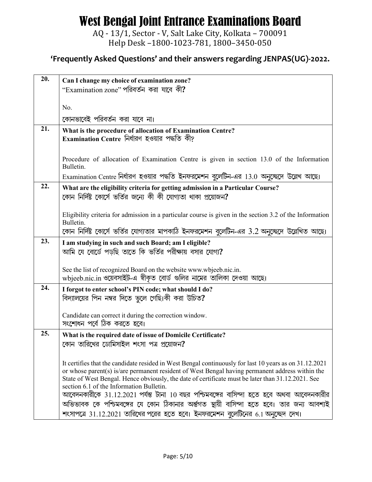AQ - 13/1, Sector - V, Salt Lake City, Kolkata - 700091 Help Desk -1800-1023-781, 1800-3450-050

| 20. | Can I change my choice of examination zone?                                                                                                                                                          |
|-----|------------------------------------------------------------------------------------------------------------------------------------------------------------------------------------------------------|
|     | "Examination zone" পরিবর্তন করা যাবে কী?                                                                                                                                                             |
|     |                                                                                                                                                                                                      |
|     | No.                                                                                                                                                                                                  |
|     | কোনভাবেই পরিবর্তন করা যাবে না।                                                                                                                                                                       |
| 21. | What is the procedure of allocation of Examination Centre?                                                                                                                                           |
|     | Examination Centre নিৰ্ধারণ হওয়ার পদ্ধতি কী?                                                                                                                                                        |
|     |                                                                                                                                                                                                      |
|     | Procedure of allocation of Examination Centre is given in section 13.0 of the Information<br>Bulletin.                                                                                               |
|     | Examination Centre নির্ধারণ হওয়ার পদ্ধতি ইনফরমেশন বুলেটিন-এর 13.0 অনুচ্ছেদে উল্লেখ আছে।                                                                                                             |
| 22. | What are the eligibility criteria for getting admission in a Particular Course?                                                                                                                      |
|     | কোন নির্দিষ্ট কোর্সে ভর্তির জন্যে কী কী যোগ্যতা থাকা প্রয়োজন?                                                                                                                                       |
|     |                                                                                                                                                                                                      |
|     | Eligibility criteria for admission in a particular course is given in the section 3.2 of the Information<br>Bulletin.                                                                                |
|     | কোন নির্দিষ্ট কোর্সে ভর্তির যোগ্যতার মাপকাঠি ইনফরমেশন বুলেটিন-এর 3.2 অনুচ্ছেদে উল্লেখিত আছে।                                                                                                         |
| 23. | I am studying in such and such Board; am I eligible?                                                                                                                                                 |
|     | আমি যে বোর্ডে পড়ছি তাতে কি ভর্তির পরীক্ষায় বসার যোগ্য?                                                                                                                                             |
|     |                                                                                                                                                                                                      |
|     | See the list of recognized Board on the website www.wbjeeb.nic.in.                                                                                                                                   |
|     | wbjeeb.nic.in ওয়েবসাইট-এ স্বীকৃত বোর্ড গুলির নামের তালিকা দেওয়া আছে।                                                                                                                               |
| 24. | I forgot to enter school's PIN code; what should I do?                                                                                                                                               |
|     | বিদ্যালয়ের পিন নম্বর দিতে ভুলে গেছি।কী করা উচিত?                                                                                                                                                    |
|     | Candidate can correct it during the correction window.                                                                                                                                               |
|     | সংশোধন পর্বে ঠিক করতে হবে।                                                                                                                                                                           |
| 25. | What is the required date of issue of Domicile Certificate?                                                                                                                                          |
|     | কোন তারিখের ডোমিসাইল শংসা পত্র প্রয়োজন?                                                                                                                                                             |
|     |                                                                                                                                                                                                      |
|     | It certifies that the candidate resided in West Bengal continuously for last 10 years as on 31.12.2021                                                                                               |
|     | or whose parent(s) is/are permanent resident of West Bengal having permanent address within the<br>State of West Bengal. Hence obviously, the date of certificate must be later than 31.12.2021. See |
|     | section 6.1 of the Information Bulletin.                                                                                                                                                             |
|     | আবেদনকারীকে 31.12.2021 পর্যন্ত টানা 10 বছর পশ্চিমবঙ্গের বাসিন্দা হতে হবে অথবা আবেদনকারীর                                                                                                             |
|     | অভিভাবক কে পশ্চিমবঙ্গের যে কোন ঠিকানার অর্ন্তগত স্থায়ী বাসিন্দা হতে হবে। তার জন্য আবশ্যই                                                                                                            |
|     | শংসাপত্রে 31.12.2021 তারিখের পরের হতে হবে। ইনফরমেশন বুলেটিনের 6.1 অনুচ্ছেদ দেখ।                                                                                                                      |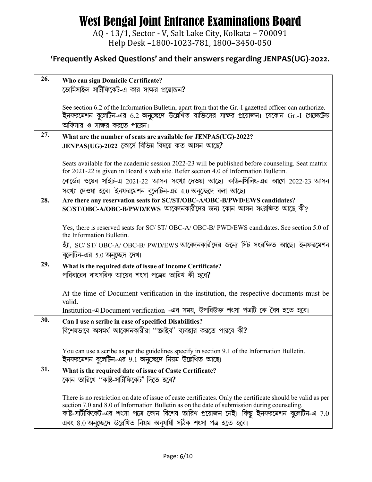AQ - 13/1, Sector - V, Salt Lake City, Kolkata – 700091 Help Desk –1800-1023-781, 1800–3450-050

| 26. | Who can sign Domicile Certificate?<br>ডোমিসাইল সার্টীফিকেট-এ কার সাক্ষর প্রয়োজন?                                                                                                                    |
|-----|------------------------------------------------------------------------------------------------------------------------------------------------------------------------------------------------------|
|     | See section 6.2 of the Information Bulletin, apart from that the Gr.-I gazetted officer can authorize.<br>ইনফরমেশন বুলেটিন-এর 6.2 অনুচ্ছেদে উল্লেখিত ব্যক্তিদের সাক্ষর প্রয়োজন। যেকোন Gr.-I গেজেটেড |
|     | অফিসার ও সাক্ষর করতে পারেন।                                                                                                                                                                          |
| 27. | What are the number of seats are available for JENPAS(UG)-2022?                                                                                                                                      |
|     | JENPAS(UG)-2022 কোর্সে বিভিন্ন বিষয়ে কত আসন আছে?                                                                                                                                                    |
|     | Seats available for the academic session 2022-23 will be published before counseling. Seat matrix<br>for 2021-22 is given in Board's web site. Refer section 4.0 of Information Bulletin.            |
|     | বোর্ডের ওয়েব সাইট-এ 2021-22 আসন সংখ্যা দেওয়া আছে। কাউনসিলিং-এর আগে 2022-23 আসন                                                                                                                     |
|     | সংখ্যা দেওয়া হবে। ইনফরমেশন বুলেটিন-এর 4.0 অনুচ্ছেদে বলা আছে।                                                                                                                                        |
| 28. | Are there any reservation seats for SC/ST/OBC-A/OBC-B/PWD/EWS candidates?                                                                                                                            |
|     | SC/ST/OBC-A/OBC-B/PWD/EWS আবেদনকারীদের জন্য কোন আসন সংরক্ষিত আছে কী?                                                                                                                                 |
|     | Yes, there is reserved seats for SC/ST/OBC-A/OBC-B/PWD/EWS candidates. See section 5.0 of<br>the Information Bulletin.                                                                               |
|     | হ্যা, SC/ ST/ OBC-A/ OBC-B/ PWD/EWS আবেদনকারীদের জন্যে সিট সংরক্ষিত আছে। ইনফরমেশন<br>বুলেটিন-এর 5.0 অনুচ্ছেদ দেখ।                                                                                    |
| 29. | What is the required date of issue of Income Certificate?                                                                                                                                            |
|     | পরিবারের বাৎসরিক আয়ের শংসা পত্রের তারিখ কী হবে?                                                                                                                                                     |
|     |                                                                                                                                                                                                      |
|     | At the time of Document verification in the institution, the respective documents must be<br>valid.                                                                                                  |
|     | Institution-এ Document verification -এর সময়, উপরিউক্ত শংসা পত্রটি কে বৈধ হতে হবে।                                                                                                                   |
| 30. | Can I use a scribe in case of specified Disabilities?                                                                                                                                                |
|     | বিশেষভাবে অসমর্থ আবেদনকারীরা ''ক্ষাইব" ব্যবহার করতে পারবে কী?                                                                                                                                        |
|     |                                                                                                                                                                                                      |
|     |                                                                                                                                                                                                      |
|     | You can use a scribe as per the guidelines specify in section 9.1 of the Information Bulletin.                                                                                                       |
|     | ইনফরমেশন বুলেটিন-এর 9.1 অনুচ্ছেদে নিয়ম উল্লেখিত আছে।                                                                                                                                                |
| 31. | What is the required date of issue of Caste Certificate?                                                                                                                                             |
|     | কোন তারিখে ''কাষ্ট-সার্টীফিকেট" দিতে হবে?                                                                                                                                                            |
|     | There is no restriction on date of issue of caste certificates. Only the certificate should be valid as per                                                                                          |
|     | section 7.0 and 8.0 of Information Bulletin as on the date of submission during counseling.<br>কাষ্ট-সার্টীফিকেট-এর শংসা পত্রে কোন বিশেষ তারিখ প্রয়োজন নেই। কিন্তু ইনফরমেশন বুলেটিন-এ 7.0           |
|     | এবং ৪.0 অনুচ্ছেদে উল্লেখিত নিয়ম অনুযায়ী সঠিক শংসা পত্ৰ হতে হবে।                                                                                                                                    |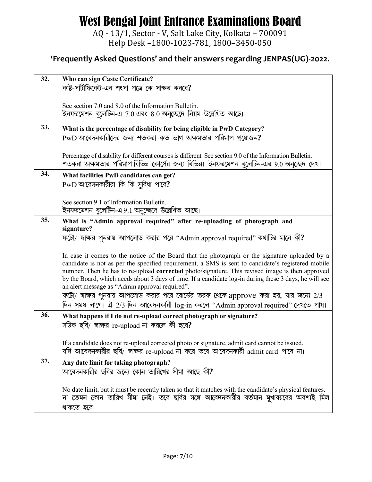AQ - 13/1, Sector - V, Salt Lake City, Kolkata – 700091 Help Desk –1800-1023-781, 1800–3450-050

| 32. | Who can sign Caste Certificate?                                                                                                                                                                      |
|-----|------------------------------------------------------------------------------------------------------------------------------------------------------------------------------------------------------|
|     | কাষ্ট-সার্টীফিকেট-এর শংসা পত্রে কে সাক্ষর করবে?                                                                                                                                                      |
|     |                                                                                                                                                                                                      |
|     | See section 7.0 and 8.0 of the Information Bulletin.                                                                                                                                                 |
|     | ইনফরমেশন বুলেটিন-এ 7.0 এবং ৪.0 অনুচ্ছেদে নিয়ম উল্লেখিত আছে।                                                                                                                                         |
|     |                                                                                                                                                                                                      |
| 33. | What is the percentage of disability for being eligible in PwD Category?                                                                                                                             |
|     | $PWD$ আবেদনকারীদের জন্য শতকরা কত ভাগ অক্ষমতার পরিমাপ প্রয়োজন?                                                                                                                                       |
|     |                                                                                                                                                                                                      |
|     |                                                                                                                                                                                                      |
|     | Percentage of disability for different courses is different. See section 9.0 of the Information Bulletin.                                                                                            |
|     | শতকরা অক্ষমতার পরিমাপ বিভিন্ন কোর্সের জন্য বিভিন্ন। ইনফরমেশন বুলেটিন-এর 9.0 অনুচ্ছেদ দেখ।                                                                                                            |
| 34. | What facilities PwD candidates can get?                                                                                                                                                              |
|     | $PWD$ আবেদনকারীরা কি কি সুবিধা পাবে?                                                                                                                                                                 |
|     |                                                                                                                                                                                                      |
|     |                                                                                                                                                                                                      |
|     | See section 9.1 of Information Bulletin.                                                                                                                                                             |
|     | ইনফরমেশন বুলেটিন-এ 9.1 অনুচ্ছেদে উল্লেখিত আছে।                                                                                                                                                       |
| 35. | What is "Admin approval required" after re-uploading of photograph and                                                                                                                               |
|     | signature?                                                                                                                                                                                           |
|     | ফটো/ স্বাক্ষর পুনরায় আপলোড করার পরে "Admin approval required" কথাটির মানে কী?                                                                                                                       |
|     |                                                                                                                                                                                                      |
|     |                                                                                                                                                                                                      |
|     | In case it comes to the notice of the Board that the photograph or the signature uploaded by a                                                                                                       |
|     | candidate is not as per the specified requirement, a SMS is sent to candidate's registered mobile<br>number. Then he has to re-upload corrected photo/signature. This revised image is then approved |
|     | by the Board, which needs about 3 days of time. If a candidate log-in during these 3 days, he will see                                                                                               |
|     | an alert message as "Admin approval required".                                                                                                                                                       |
|     |                                                                                                                                                                                                      |
|     | ফটো/ স্বাক্ষর পুনরায় আপলোড করার পরে বোর্ডের তরফ থেকে approve করা হয়, যার জন্যে 2/3                                                                                                                 |
|     | দিন সময় লাগে। ঐ 2/3 দিন আবেদনকারী log-in করলে "Admin approval required" দেখতে পায়।                                                                                                                 |
| 36. | What happens if I do not re-upload correct photograph or signature?                                                                                                                                  |
|     | সঠিক ছবি/ স্বাক্ষর re-upload না করলে কী হবে?                                                                                                                                                         |
|     |                                                                                                                                                                                                      |
|     |                                                                                                                                                                                                      |
|     | If a candidate does not re-upload corrected photo or signature, admit card cannot be issued.                                                                                                         |
|     | যদি আবেদনকারীর ছবি/ স্বাক্ষর re-upload না করে তবে আবেদনকারী admit card পাবে না।                                                                                                                      |
| 37. | Any date limit for taking photograph?                                                                                                                                                                |
|     | আবেদনকারীর ছবির জন্যে কোন তারিখের সীমা আছে কী?                                                                                                                                                       |
|     |                                                                                                                                                                                                      |
|     |                                                                                                                                                                                                      |
|     | No date limit, but it must be recently taken so that it matches with the candidate's physical features.                                                                                              |
|     | না তেমন কোন তারিখ সীমা নেই। তবে ছবির সঙ্গে আবেদনকারীর বর্তমান মুখাবয়বের অবশ্যই মিল                                                                                                                  |
|     | থাকতে হবে।                                                                                                                                                                                           |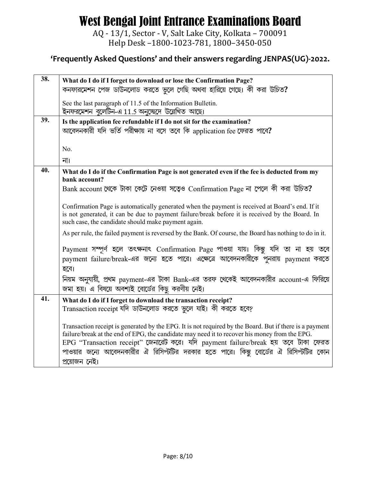AQ - 13/1, Sector - V, Salt Lake City, Kolkata - 700091 Help Desk -1800-1023-781, 1800-3450-050

| 38. | What do I do if I forget to download or lose the Confirmation Page?                                     |
|-----|---------------------------------------------------------------------------------------------------------|
|     | কনফারমেশন পেজ ডাউনলোড করতে ভুলে গেছি অথবা হারিয়ে গেছে। কী করা উচিত?                                    |
|     | See the last paragraph of 11.5 of the Information Bulletin.                                             |
|     | ইনফরমেশন বুলেটিন-এ 11.5 অনুচ্ছেদে উল্লেখিত আছে।                                                         |
| 39. | Is the application fee refundable if I do not sit for the examination?                                  |
|     | আবেদনকারী যদি ভর্তি পরীক্ষায় না বসে তবে কি application fee ফেরত পাবে?                                  |
|     |                                                                                                         |
|     | No.                                                                                                     |
|     | না।                                                                                                     |
| 40. | What do I do if the Confirmation Page is not generated even if the fee is deducted from my              |
|     | bank account?                                                                                           |
|     | Bank account থেকে টাকা কেটে নেওয়া সত্বেও Confirmation Page না পেলে কী করা উচিত?                        |
|     | Confirmation Page is automatically generated when the payment is received at Board's end. If it         |
|     | is not generated, it can be due to payment failure/break before it is received by the Board. In         |
|     | such case, the candidate should make payment again.                                                     |
|     | As per rule, the failed payment is reversed by the Bank. Of course, the Board has nothing to do in it.  |
|     | Payment সম্পূর্ণ হলে তৎক্ষনাৎ Confirmation Page পাওয়া যায়। কিন্তু যদি তা না হয় তবে                   |
|     | payment failure/break-এর জন্যে হতে পারে। এক্ষেত্রে আবেদনকারীকে পুনরায় payment করতে                     |
|     | হবে।                                                                                                    |
|     | নিয়ম অনুযায়ী, প্রথম payment-এর টাকা Bank-এর তরফ থেকেই আবেদনকারীর account-এ ফিরিয়ে                    |
|     | জমা হয়। এ বিষয়ে অবশ্যই বোর্ডের কিছু করণীয় নেই।                                                       |
| 41. | What do I do if I forget to download the transaction receipt?                                           |
|     | Transaction receipt যদি ডাউনলোড করতে ভুলে যাই। কী করতে হবে?                                             |
|     |                                                                                                         |
|     | Transaction receipt is generated by the EPG. It is not required by the Board. But if there is a payment |
|     | failure/break at the end of EPG, the candidate may need it to recover his money from the EPG.           |
|     | EPG "Transaction receipt" জেনারেট করে। যদি payment failure/break হয় তবে টাকা ফেরত                      |
|     | পাওয়ার জন্যে আবেদনকারীর ঐ রিসিপ্টটির দরকার হতে পারে। কিন্তু বোর্ডের ঐ রিসিপ্টটির কোন                   |
|     | প্রয়োজন নেই।                                                                                           |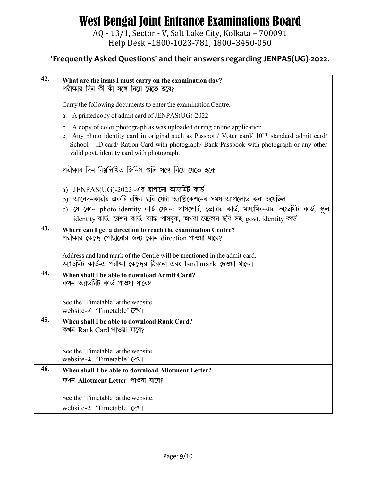AQ - 13/1, Sector - V, Salt Lake City, Kolkata – 700091 Help Desk –1800-1023-781, 1800–3450-050

| 42. | What are the items I must carry on the examination day?                                                                                                                                                                                                                                                                           |
|-----|-----------------------------------------------------------------------------------------------------------------------------------------------------------------------------------------------------------------------------------------------------------------------------------------------------------------------------------|
|     | পরীক্ষার দিন কী কী সঙ্গে নিয়ে যেতে হবে?                                                                                                                                                                                                                                                                                          |
|     | Carry the following documents to enter the examination Centre.                                                                                                                                                                                                                                                                    |
|     | a. A printed copy of admit card of JENPAS(UG)-2022                                                                                                                                                                                                                                                                                |
|     | b. A copy of color photograph as was uploaded during online application.<br>c. Any photo identity card in original such as Passport/ Voter card/ 10 <sup>th</sup> standard admit card/<br>School - ID card/ Ration Card with photograph/ Bank Passbook with photograph or any other<br>valid govt. identity card with photograph. |
|     | পরীক্ষার দিন নিম্নলিখিত জিনিস গুলি সঙ্গে নিয়ে যেতে হবে:                                                                                                                                                                                                                                                                          |
|     | JENPAS(UG)-2022 -এর ছাপানো অ্যডমিট কার্ড<br>a)                                                                                                                                                                                                                                                                                    |
|     | b) আবেদনকারীর একটি রঙ্গিন ছবি যেটা অ্যাপ্লিকেশনের সময় আপলোড করা হয়েছিল                                                                                                                                                                                                                                                          |
|     | যে কোন photo identity কাৰ্ড যেমন: পাসপোৰ্ট, ভোটার কাৰ্ড, মাধ্যমিক-এর অ্যডমিট কাৰ্ড, স্কুল<br>$\mathbf{c})$<br>identity কাৰ্ড, ৱেশন কাৰ্ড, ব্যাঙ্ক পাসবুক, অথবা যেকোন ছবি সহ govt. identity কাৰ্ড                                                                                                                                  |
| 43. | Where can I get a direction to reach the examination Centre?<br>পরীক্ষার কেন্দ্রে পৌছানোর জন্য কোন direction পাওয়া যাবে?                                                                                                                                                                                                         |
|     | Address and land mark of the Centre will be mentioned in the admit card.<br>অ্যাডমিট কার্ড-এ পরীক্ষা কেন্দ্রের ঠিকানা এবং land mark দেওয়া থাকে।                                                                                                                                                                                  |
| 44. | When shall I be able to download Admit Card?<br>কখন অ্যাডমিট কার্ড পাওয়া যাবে?                                                                                                                                                                                                                                                   |
|     | See the 'Timetable' at the website.<br>website-এ 'Timetable' (प्रथा                                                                                                                                                                                                                                                               |
| 45. | When shall I be able to download Rank Card?<br>কখন Rank Card পাওয়া যাবে?                                                                                                                                                                                                                                                         |
|     | See the 'Timetable' at the website.<br>website-এ 'Timetable' (प्रथा                                                                                                                                                                                                                                                               |
| 46. | When shall I be able to download Allotment Letter?                                                                                                                                                                                                                                                                                |
|     | কখন Allotment Letter পাওয়া যাবে?                                                                                                                                                                                                                                                                                                 |
|     | See the 'Timetable' at the website.                                                                                                                                                                                                                                                                                               |
|     | website-এ 'Timetable' (प्रथा                                                                                                                                                                                                                                                                                                      |